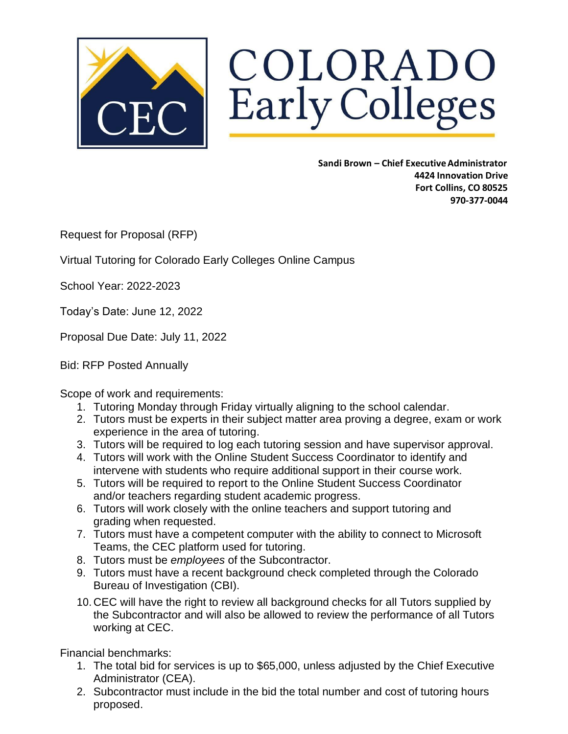

COLORADO Early Colleges

> **Sandi Brown – Chief ExecutiveAdministrator 4424 Innovation Drive Fort Collins, CO 80525 970-377-0044**

Request for Proposal (RFP)

Virtual Tutoring for Colorado Early Colleges Online Campus

School Year: 2022-2023

Today's Date: June 12, 2022

Proposal Due Date: July 11, 2022

Bid: RFP Posted Annually

Scope of work and requirements:

- 1. Tutoring Monday through Friday virtually aligning to the school calendar.
- 2. Tutors must be experts in their subject matter area proving a degree, exam or work experience in the area of tutoring.
- 3. Tutors will be required to log each tutoring session and have supervisor approval.
- 4. Tutors will work with the Online Student Success Coordinator to identify and intervene with students who require additional support in their course work.
- 5. Tutors will be required to report to the Online Student Success Coordinator and/or teachers regarding student academic progress.
- 6. Tutors will work closely with the online teachers and support tutoring and grading when requested.
- 7. Tutors must have a competent computer with the ability to connect to Microsoft Teams, the CEC platform used for tutoring.
- 8. Tutors must be *employees* of the Subcontractor.
- 9. Tutors must have a recent background check completed through the Colorado Bureau of Investigation (CBI).
- 10. CEC will have the right to review all background checks for all Tutors supplied by the Subcontractor and will also be allowed to review the performance of all Tutors working at CEC.

Financial benchmarks:

- 1. The total bid for services is up to \$65,000, unless adjusted by the Chief Executive Administrator (CEA).
- 2. Subcontractor must include in the bid the total number and cost of tutoring hours proposed.